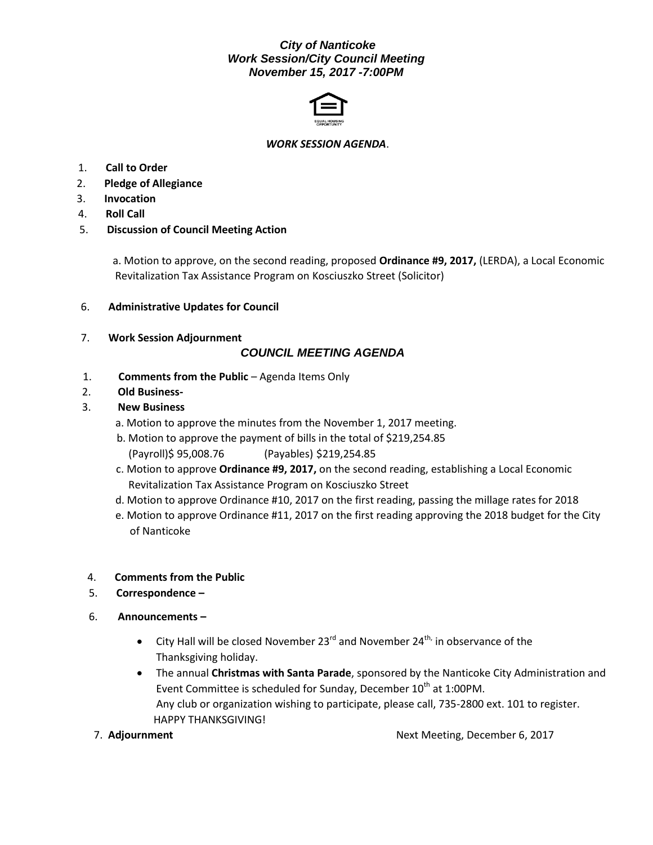### *City of Nanticoke Work Session/City Council Meeting November 15, 2017 -7:00PM*



#### *WORK SESSION AGENDA*.

- 1. **Call to Order**
- 2. **Pledge of Allegiance**
- 3. **Invocation**
- 4. **Roll Call**
- 5. **Discussion of Council Meeting Action**

 a. Motion to approve, on the second reading, proposed **Ordinance #9, 2017,** (LERDA), a Local Economic Revitalization Tax Assistance Program on Kosciuszko Street (Solicitor)

- 6. **Administrative Updates for Council**
- 7. **Work Session Adjournment**

### *COUNCIL MEETING AGENDA*

- 1. **Comments from the Public** Agenda Items Only
- 2. **Old Business-**

#### 3. **New Business**

- a. Motion to approve the minutes from the November 1, 2017 meeting.
- b. Motion to approve the payment of bills in the total of \$219,254.85 (Payroll)\$ 95,008.76 (Payables) \$219,254.85
- c. Motion to approve **Ordinance #9, 2017,** on the second reading, establishing a Local Economic Revitalization Tax Assistance Program on Kosciuszko Street
- d. Motion to approve Ordinance #10, 2017 on the first reading, passing the millage rates for 2018
- e. Motion to approve Ordinance #11, 2017 on the first reading approving the 2018 budget for the City of Nanticoke
- 4. **Comments from the Public**
- 5. **Correspondence –**
- 6. **Announcements –**
	- City Hall will be closed November 23 $^{\text{rd}}$  and November 24<sup>th,</sup> in observance of the Thanksgiving holiday.
	- The annual **Christmas with Santa Parade**, sponsored by the Nanticoke City Administration and Event Committee is scheduled for Sunday, December  $10^{th}$  at 1:00PM. Any club or organization wishing to participate, please call, 735-2800 ext. 101 to register. HAPPY THANKSGIVING!
- 

7. **Adjournment** Next Meeting, December 6, 2017